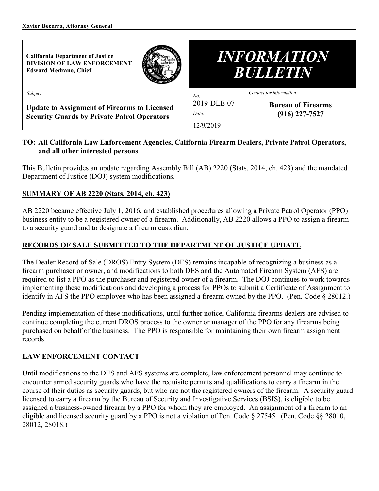| <b>California Department of Justice</b><br><b>DIVISION OF LAW ENFORCEMENT</b><br><b>Edward Medrano, Chief</b> |  |             | <i><b>INFORMATION</b></i><br><b>BULLETIN</b>  |
|---------------------------------------------------------------------------------------------------------------|--|-------------|-----------------------------------------------|
| Subject:                                                                                                      |  | No.         | Contact for information:                      |
| <b>Update to Assignment of Firearms to Licensed</b><br><b>Security Guards by Private Patrol Operators</b>     |  | 2019-DLE-07 | <b>Bureau of Firearms</b><br>$(916)$ 227-7527 |
|                                                                                                               |  | Date:       |                                               |
|                                                                                                               |  | 12/9/2019   |                                               |

#### **TO: All California Law Enforcement Agencies, California Firearm Dealers, Private Patrol Operators, and all other interested persons**

 This Bulletin provides an update regarding Assembly Bill (AB) 2220 (Stats. 2014, ch. 423) and the mandated Department of Justice (DOJ) system modifications.

#### **SUMMARY OF AB 2220 (Stats. 2014, ch. 423)**

 AB 2220 became effective July 1, 2016, and established procedures allowing a Private Patrol Operator (PPO) business entity to be a registered owner of a firearm. Additionally, AB 2220 allows a PPO to assign a firearm to a security guard and to designate a firearm custodian.

# **RECORDS OF SALE SUBMITTED TO THE DEPARTMENT OF JUSTICE UPDATE**

 required to list a PPO as the purchaser and registered owner of a firearm. The DOJ continues to work towards identify in AFS the PPO employee who has been assigned a firearm owned by the PPO. (Pen. Code § 28012.) The Dealer Record of Sale (DROS) Entry System (DES) remains incapable of recognizing a business as a firearm purchaser or owner, and modifications to both DES and the Automated Firearm System (AFS) are implementing these modifications and developing a process for PPOs to submit a Certificate of Assignment to

 purchased on behalf of the business. The PPO is responsible for maintaining their own firearm assignment Pending implementation of these modifications, until further notice, California firearms dealers are advised to continue completing the current DROS process to the owner or manager of the PPO for any firearms being records.

# **LAW ENFORCEMENT CONTACT**

 licensed to carry a firearm by the Bureau of Security and Investigative Services (BSIS), is eligible to be assigned a business-owned firearm by a PPO for whom they are employed. An assignment of a firearm to an eligible and licensed security guard by a PPO is not a violation of Pen. Code § 27545. (Pen. Code §§ 28010, 28012, 28018.) Until modifications to the DES and AFS systems are complete, law enforcement personnel may continue to encounter armed security guards who have the requisite permits and qualifications to carry a firearm in the course of their duties as security guards, but who are not the registered owners of the firearm. A security guard